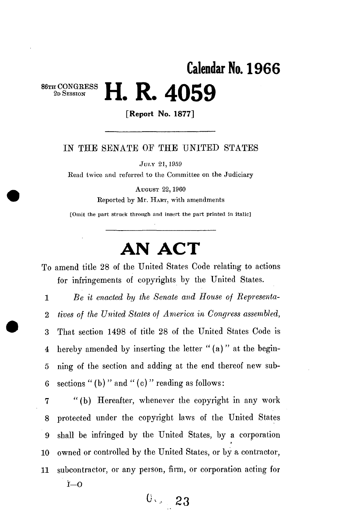## **Calendar No. 196 6**   $\bullet$  CONGRESS  $\blacksquare$  **D**  $\Lambda$ **050 2**<sup>*b*</sup>SESSION **11.** 11. 14. 4000

**[Report No. 1877]** 

## IN THE SENATE OF THE UNITED STATES

JULY 21,1959

Read twice and referred to the Committee on the Judiciary

AUGUST 22,1960 Reported by Mr. HART, with amendments

[Omit the part struck through and insert the part printed in italic]

## **AN ACT**

To amend title 28 of the United States Code relating to actions for infringements of copyrights by the United States.

1 *Be it enacted by the Senate and House of Representa-*2 *fives of the United States of America in Congress assembled,*  3 That section 1498 of title 28 of the United States Code is 4 hereby amended by inserting the letter " $(a)$ " at the begin-5 ning of the section and adding at the end thereof new sub-6 sections " (b)" and " (c)" reading as follows:

7 "(b) Hereafter, whenever the copyright in any work 8 protected under the copyright laws of the United States 9 shall be infringed by the United States, by a corporation 10 owned or controlled by the United States, or by a contractor, 11 subcontractor, or any person, firm, or corporation acting for

**i—O** 

**°^** *23*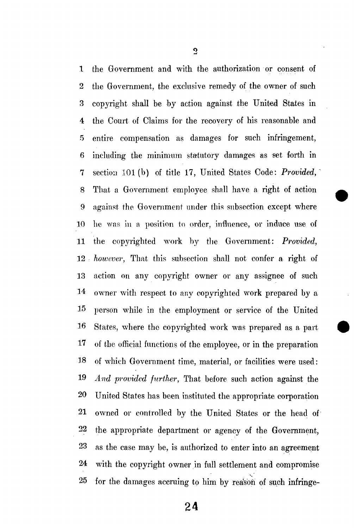1 the Government and with the authorization or consent of 2 the Government, the exclusive remedy of the owner of such 3 copyright shall be by action against the United States in 4 the Court of Claims for the recovery of his reasonable and 5 entire compensation as damages for such infringement, 6 including the minimum statutory damages as set forth in 7 section 101(b) of title 17, United States Code: *Provided,*  8 That a Government employee shall have a right of action 9 against the Government under this subsection except where 10 he was in a position to order, influence, or induce use of 11 the copyrighted work by the Government: *Provided,*  12 *however,* That this subsection shall not confer a right of 13 action on any copyright owner or any assignee of such 14 owner with respect to any copyrighted work prepared by a 15 person while in the employment or service of the United 16 States, where the copyrighted work was prepared as a part 17 of the official functions of the employee, or in the preparation 18 of which Government time, material, or facilities were used: 19 *And provided further,* That before such action against the 20 United States has been instituted the appropriate corporation 21 owned or controlled by the United States or the head of 22 the appropriate department or agency of the Government, 23 as the case may be, is authorized to enter into an agreement 24 with the copyright owner in full settlement and compromise 25 for the damages accruing to him by reason of such infringe-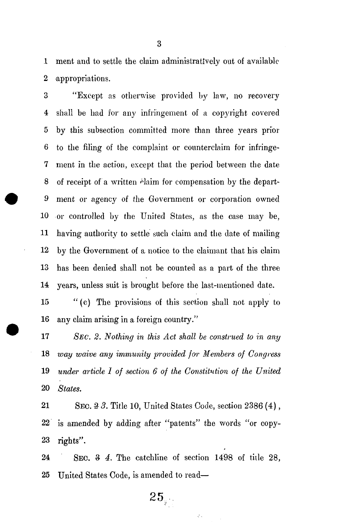.1 ment and to settle the claim administratively out of available 2 appropriations.

3 "Except as otherwise provided by law, no recovery 4 shall be had for any infringement of a copyright covered 5 by this subsection committed more than three years prior 6 to the filing of the complaint or counterclaim for infringe-7 ment in the action, except that the period between the date 8 of receipt of a written *chaim* for compensation by the depart-9 ment or agency of the Government or corporation owned 10 or controlled by the United States, as the case may be, 11 having authority to settle such claim and the date of mailing 12 by the Government of a notice to the claimant that his claim 13 has been denied shall not be counted as a part of the three 14 years, unless suit is brought before the last-mentioned date.

15 "(c) The provisions of this section shall not apply to 16 any claim arising in a foreign country."

 *SEC. 2. Nothing in this Act shall be construed to in any way waive any immunity provided for Members of Congress under article I of section 6 of the Constitution of the United*  20 *States.* 

21 SEC. 3 *3.* Title 10, United States Code, section 2386 (4), 22 is amended by adding after "patents" the words "or copy-23 rights".

24 SEC. *% 4.* The catchline of section 1498 of tide 28, 25 United States Code, is amended to read—

 $25\llap{.}$ 

 $\zeta$  .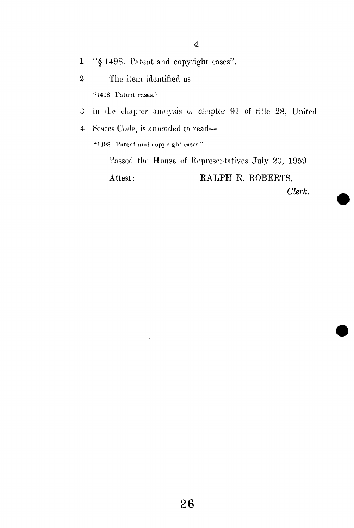1 "§ 1498. Patent and copyright cases".

- 2 The item identified as "1498. Patent cases."
- 3 in the chapter analysis of chapter 91 of title 28, United
- 4 States Code, is amended to read— "1498. Patent and copyright cases."

Passed the House of Representatives July 20, 1959. Attest: RALPH R. ROBERTS, *Clerk.*